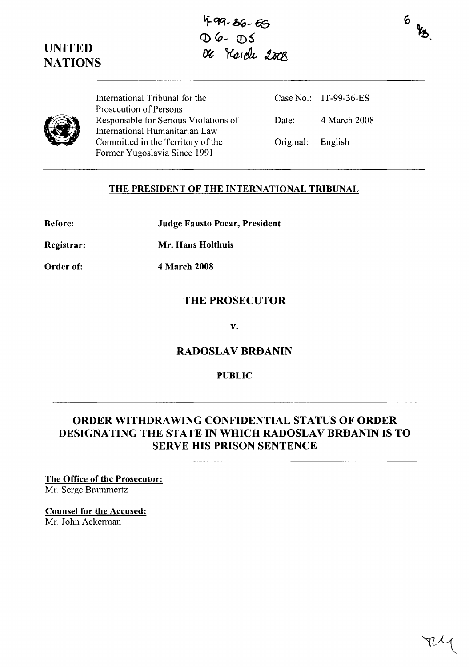



International Tribunal for the Prosecution of Persons Responsible for Serious Violations of International Humanitarian Law Committed in the Territory of the Former Yugoslavia Since 1991

Case No.: IT-99-36-ES Date: 4 March 2008 Original: English

### **THE PRESIDENT OF THE INTERNATIONAL TRIBUNAL**

| <b>Before:</b> | <b>Judge Fausto Pocar, President</b> |
|----------------|--------------------------------------|
|                |                                      |

**Registrar: Mr. Hans Holthuis** 

**Order of: 4 March 2008** 

### **THE PROSECUTOR**

**v.** 

#### **RADOSLAV BRĐANIN**

#### **PUBLIC**

# **ORDER WITHDRAWING CONFIDENTIAL STATUS OF ORDER DESIGNATING THE STATE IN WHICH RADOSLAV BRBANIN IS TO SERVE HIS PRISON SENTENCE**

## **The Office of the Prosecutor:**

Mr. Serge Brammertz

#### **Counsel for the Accused:**

Mr. John Ackerman